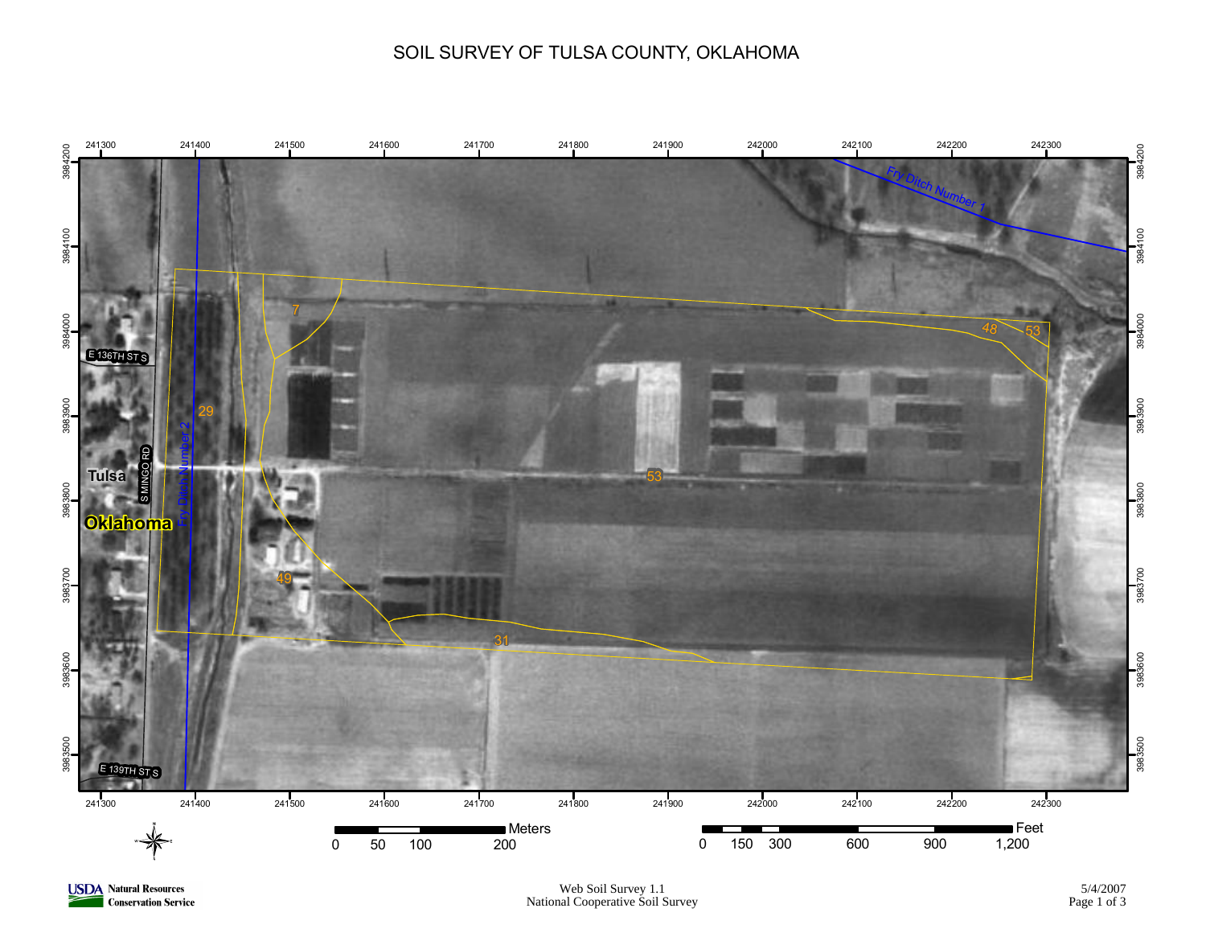## SOIL SURVEY OF TULSA COUNTY, OKLAHOMA



**USDA** Natural Resources **Conservation Service**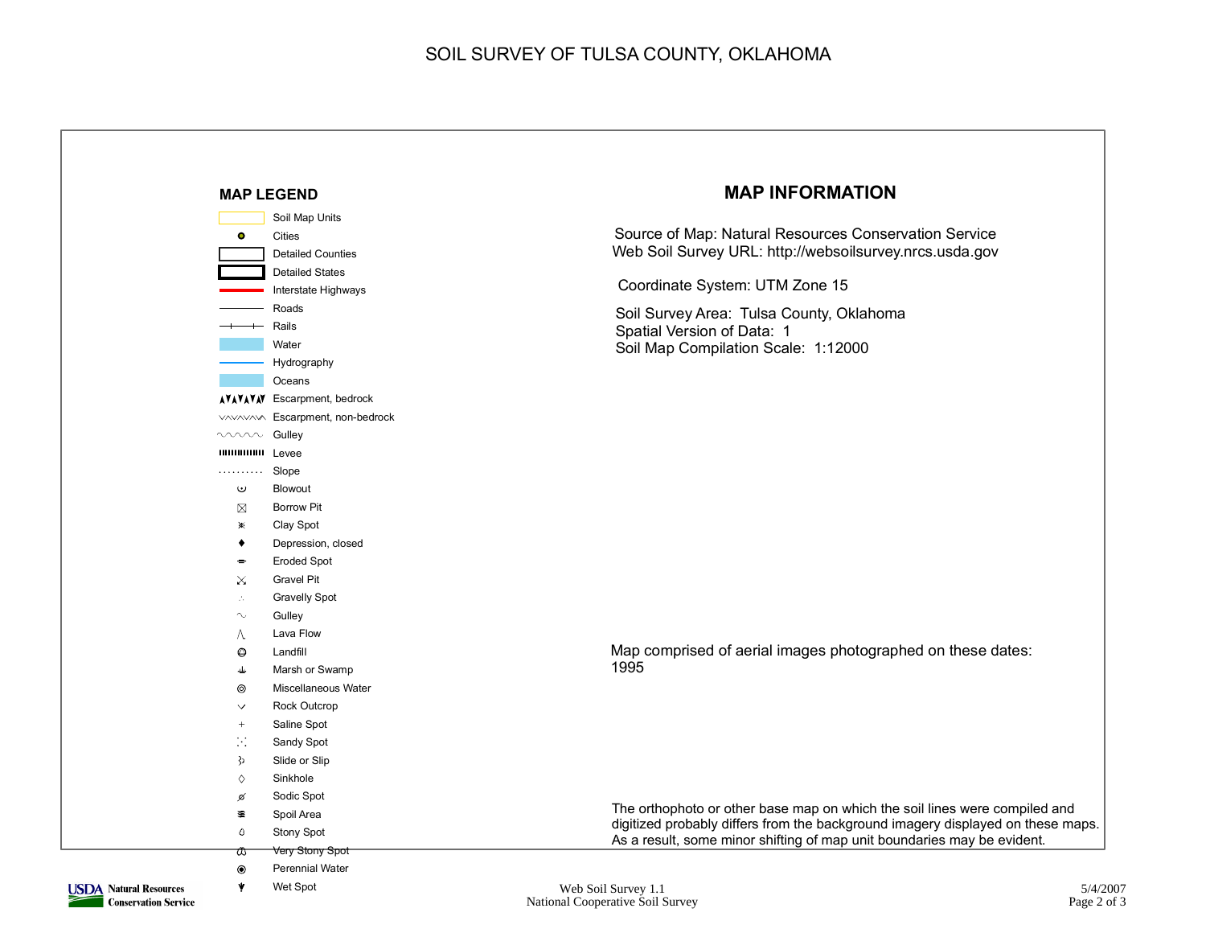## SOIL SURVEY OF TULSA COUNTY, OKLAHOMA

|                               |                             | <b>MAP LEGEND</b>                 | <b>MAP INFORMATION</b>                                                                                                                                        |  |  |
|-------------------------------|-----------------------------|-----------------------------------|---------------------------------------------------------------------------------------------------------------------------------------------------------------|--|--|
|                               |                             | Soil Map Units                    |                                                                                                                                                               |  |  |
|                               | $\bullet$                   | Cities                            | Source of Map: Natural Resources Conservation Service                                                                                                         |  |  |
|                               |                             | <b>Detailed Counties</b>          | Web Soil Survey URL: http://websoilsurvey.nrcs.usda.gov                                                                                                       |  |  |
|                               |                             | <b>Detailed States</b>            |                                                                                                                                                               |  |  |
|                               |                             | Interstate Highways               | Coordinate System: UTM Zone 15                                                                                                                                |  |  |
|                               |                             | Roads                             |                                                                                                                                                               |  |  |
|                               |                             | $+$ Rails                         | Soil Survey Area: Tulsa County, Oklahoma<br>Spatial Version of Data: 1                                                                                        |  |  |
|                               |                             | Water                             | Soil Map Compilation Scale: 1:12000                                                                                                                           |  |  |
|                               |                             | Hydrography                       |                                                                                                                                                               |  |  |
|                               |                             | Oceans                            |                                                                                                                                                               |  |  |
|                               |                             | <b>AVAVAV Escarpment, bedrock</b> |                                                                                                                                                               |  |  |
|                               |                             | VAVAVAVA Escarpment, non-bedrock  |                                                                                                                                                               |  |  |
|                               | www Gulley                  |                                   |                                                                                                                                                               |  |  |
|                               | <b>IIIIIIIIIIIIII</b> Levee |                                   |                                                                                                                                                               |  |  |
|                               | .                           | Slope                             |                                                                                                                                                               |  |  |
|                               | $\bf\omega$                 | Blowout                           |                                                                                                                                                               |  |  |
|                               | ⊠                           | <b>Borrow Pit</b>                 |                                                                                                                                                               |  |  |
|                               | $\mathbb{X}$                | Clay Spot                         |                                                                                                                                                               |  |  |
|                               | ٠                           | Depression, closed                |                                                                                                                                                               |  |  |
|                               | $\equiv$                    | <b>Eroded Spot</b>                |                                                                                                                                                               |  |  |
|                               | $\times$                    | <b>Gravel Pit</b>                 |                                                                                                                                                               |  |  |
|                               | V.                          | <b>Gravelly Spot</b>              |                                                                                                                                                               |  |  |
|                               | $\sim$                      | Gulley                            |                                                                                                                                                               |  |  |
|                               | л                           | Lava Flow                         |                                                                                                                                                               |  |  |
|                               | $\circledcirc$              | Landfill                          | Map comprised of aerial images photographed on these dates:                                                                                                   |  |  |
|                               | 書                           | Marsh or Swamp                    | 1995                                                                                                                                                          |  |  |
|                               | ⊚                           | Miscellaneous Water               |                                                                                                                                                               |  |  |
|                               | $\checkmark$                | Rock Outcrop                      |                                                                                                                                                               |  |  |
|                               | $^+$                        | Saline Spot                       |                                                                                                                                                               |  |  |
|                               | P.                          | Sandy Spot                        |                                                                                                                                                               |  |  |
|                               | $\mathcal{E}$               | Slide or Slip                     |                                                                                                                                                               |  |  |
|                               | Sinkhole<br>♦               |                                   |                                                                                                                                                               |  |  |
|                               | ø                           | Sodic Spot                        |                                                                                                                                                               |  |  |
|                               | 蜜                           | Spoil Area                        | The orthophoto or other base map on which the soil lines were compiled and<br>digitized probably differs from the background imagery displayed on these maps. |  |  |
|                               | Ô                           | <b>Stony Spot</b>                 | As a result, some minor shifting of map unit boundaries may be evident.                                                                                       |  |  |
|                               | ₩                           | Very Stony Spot                   |                                                                                                                                                               |  |  |
|                               | $\circledcirc$              | <b>Perennial Water</b>            |                                                                                                                                                               |  |  |
| <b>USDA Natural Resources</b> | Y                           | Wet Spot                          | 5/4/2<br>Web Soil Survey 1.1                                                                                                                                  |  |  |

**Conservation Service** 

₹

National Cooperative Soil Survey